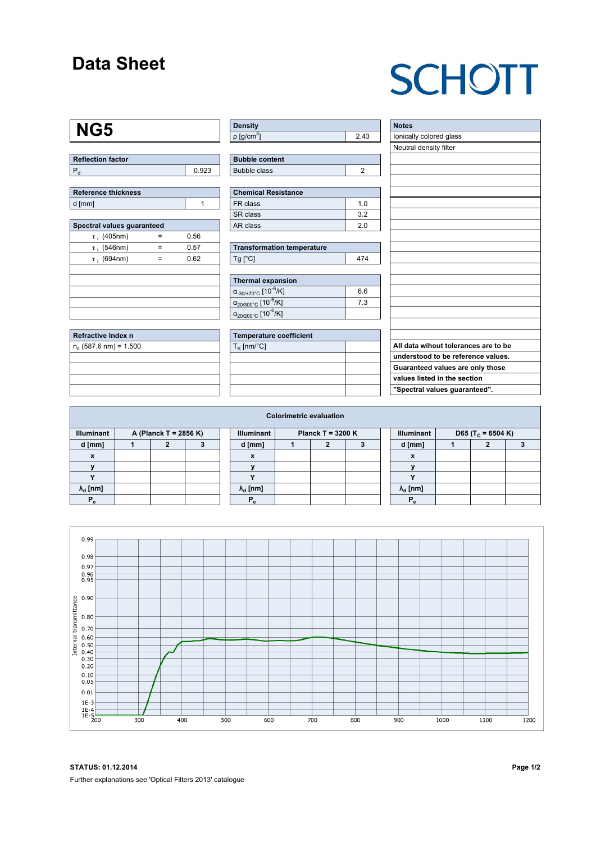### **Data Sheet**

# **SCHOTT**

### **NG5**

| <b>Reflection factor</b> |       |
|--------------------------|-------|
|                          | በ 923 |

| Reference thickness |  |
|---------------------|--|
| d [mm]              |  |

| Spectral values guaranteed |   |      |  |  |  |  |  |  |  |  |
|----------------------------|---|------|--|--|--|--|--|--|--|--|
| $\tau$ ; (405nm)           |   | 0.56 |  |  |  |  |  |  |  |  |
| $\tau$ ; (546nm)           |   | 0.57 |  |  |  |  |  |  |  |  |
| $\tau$ ; (694nm)           | = | 0.62 |  |  |  |  |  |  |  |  |
|                            |   |      |  |  |  |  |  |  |  |  |
|                            |   |      |  |  |  |  |  |  |  |  |
|                            |   |      |  |  |  |  |  |  |  |  |
|                            |   |      |  |  |  |  |  |  |  |  |
|                            |   |      |  |  |  |  |  |  |  |  |

| Refractive Index n       |  |
|--------------------------|--|
| $n_d$ (587.6 nm) = 1.500 |  |
|                          |  |
|                          |  |
|                          |  |
|                          |  |

| ∣ Density                |      |
|--------------------------|------|
| $p$ [g/cm <sup>3</sup> ] | 2.43 |

| <b>Bubble content</b> |  |
|-----------------------|--|
| Bubble class          |  |

| <b>Chemical Resistance</b> |     |  |  |  |  |  |
|----------------------------|-----|--|--|--|--|--|
| FR class                   | 1 N |  |  |  |  |  |
| SR class                   | 32  |  |  |  |  |  |
| AR class                   | 20  |  |  |  |  |  |

| <b>Transformation temperature</b> |     |  |  |  |  |  |
|-----------------------------------|-----|--|--|--|--|--|
| $Tg$ [ $^{\circ}$ C]              | 474 |  |  |  |  |  |

| Thermal expansion                                 |     |  |  |  |  |  |  |
|---------------------------------------------------|-----|--|--|--|--|--|--|
| $\alpha_{.30/+70\degree}$ c [10 <sup>-6</sup> /K] | 6.6 |  |  |  |  |  |  |
| $\alpha_{20/300^{\circ}C}$ [10 <sup>-6</sup> /K]  | 7.3 |  |  |  |  |  |  |
| $\alpha_{20/200^{\circ}C}$ [10 <sup>-6</sup> /K]  |     |  |  |  |  |  |  |

| Temperature coefficient |  |  |  |  |  |  |
|-------------------------|--|--|--|--|--|--|
| $T_{\rm K}$ [nm/°C]     |  |  |  |  |  |  |
|                         |  |  |  |  |  |  |
|                         |  |  |  |  |  |  |
|                         |  |  |  |  |  |  |
|                         |  |  |  |  |  |  |

| <b>Notes</b>                         |
|--------------------------------------|
| lonically colored glass              |
| Neutral density filter               |
|                                      |
|                                      |
|                                      |
|                                      |
|                                      |
|                                      |
|                                      |
|                                      |
|                                      |
|                                      |
|                                      |
|                                      |
|                                      |
|                                      |
|                                      |
|                                      |
|                                      |
| All data wihout tolerances are to be |
| understood to be reference values.   |
| Guaranteed values are only those     |
| values listed in the section         |
| "Spectral values guaranteed".        |

| <b>Colorimetric evaluation</b>             |  |  |  |  |                                          |  |  |  |  |                                                    |  |  |  |  |
|--------------------------------------------|--|--|--|--|------------------------------------------|--|--|--|--|----------------------------------------------------|--|--|--|--|
| <b>Illuminant</b><br>A (Planck T = 2856 K) |  |  |  |  | <b>Illuminant</b><br>Planck T = $3200 K$ |  |  |  |  | <b>Illuminant</b><br>D65 (T <sub>c</sub> = 6504 K) |  |  |  |  |
| d [mm]                                     |  |  |  |  | d [mm]                                   |  |  |  |  | d [mm]                                             |  |  |  |  |
| X                                          |  |  |  |  | X                                        |  |  |  |  | $\boldsymbol{\mathsf{x}}$                          |  |  |  |  |
|                                            |  |  |  |  |                                          |  |  |  |  |                                                    |  |  |  |  |
|                                            |  |  |  |  |                                          |  |  |  |  | $\cdot$                                            |  |  |  |  |
| $\lambda_{d}$ [nm]                         |  |  |  |  | $\lambda_{\rm d}$ [nm]                   |  |  |  |  | $\lambda_{\rm d}$ [nm]                             |  |  |  |  |
| $P_e$                                      |  |  |  |  | P.                                       |  |  |  |  |                                                    |  |  |  |  |